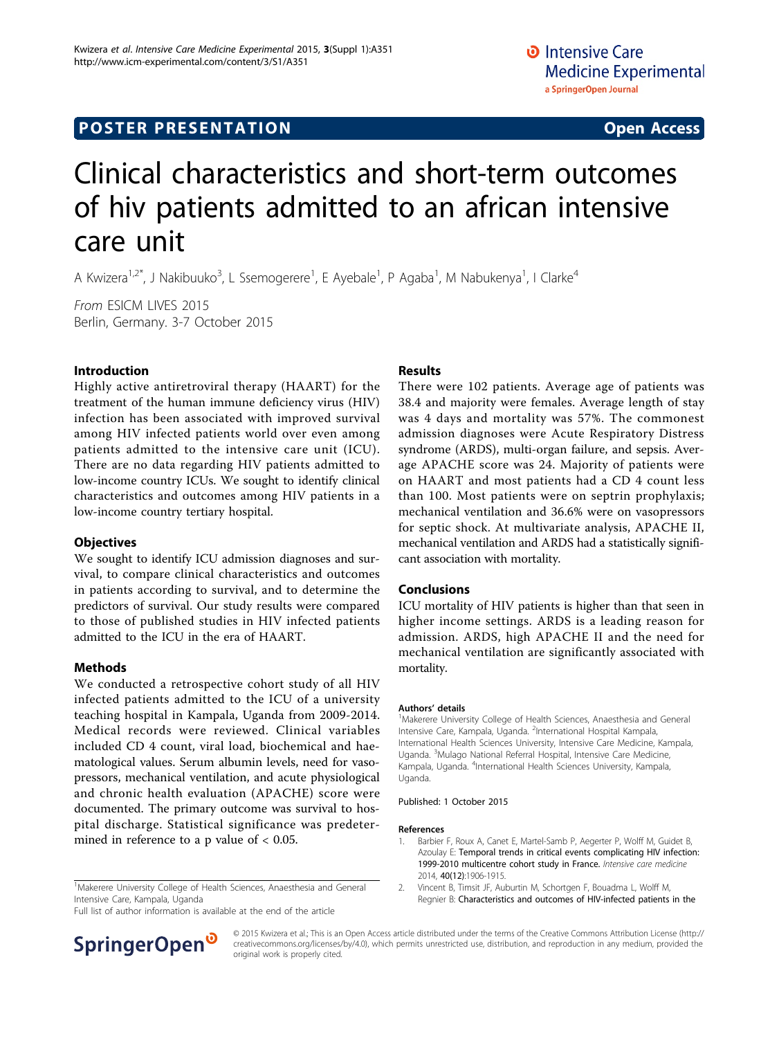## **POSTER PRESENTATION CONSUMING THE SERVICE SERVICE SERVICES**

# Clinical characteristics and short-term outcomes of hiv patients admitted to an african intensive care unit

A Kwizera<sup>1,2\*</sup>, J Nakibuuko<sup>3</sup>, L Ssemogerere<sup>1</sup>, E Ayebale<sup>1</sup>, P Agaba<sup>1</sup>, M Nabukenya<sup>1</sup>, I Clarke<sup>4</sup>

From ESICM LIVES 2015 Berlin, Germany. 3-7 October 2015

#### Introduction

Highly active antiretroviral therapy (HAART) for the treatment of the human immune deficiency virus (HIV) infection has been associated with improved survival among HIV infected patients world over even among patients admitted to the intensive care unit (ICU). There are no data regarding HIV patients admitted to low-income country ICUs. We sought to identify clinical characteristics and outcomes among HIV patients in a low-income country tertiary hospital.

#### **Objectives**

We sought to identify ICU admission diagnoses and survival, to compare clinical characteristics and outcomes in patients according to survival, and to determine the predictors of survival. Our study results were compared to those of published studies in HIV infected patients admitted to the ICU in the era of HAART.

#### **Methods**

We conducted a retrospective cohort study of all HIV infected patients admitted to the ICU of a university teaching hospital in Kampala, Uganda from 2009-2014. Medical records were reviewed. Clinical variables included CD 4 count, viral load, biochemical and haematological values. Serum albumin levels, need for vasopressors, mechanical ventilation, and acute physiological and chronic health evaluation (APACHE) score were documented. The primary outcome was survival to hospital discharge. Statistical significance was predetermined in reference to a p value of  $< 0.05$ .

<sup>1</sup>Makerere University College of Health Sciences, Anaesthesia and General Intensive Care, Kampala, Uganda

Full list of author information is available at the end of the article

## SpringerOpen<sup>®</sup>

Results

There were 102 patients. Average age of patients was 38.4 and majority were females. Average length of stay was 4 days and mortality was 57%. The commonest admission diagnoses were Acute Respiratory Distress syndrome (ARDS), multi-organ failure, and sepsis. Average APACHE score was 24. Majority of patients were on HAART and most patients had a CD 4 count less than 100. Most patients were on septrin prophylaxis; mechanical ventilation and 36.6% were on vasopressors for septic shock. At multivariate analysis, APACHE II, mechanical ventilation and ARDS had a statistically significant association with mortality.

#### Conclusions

ICU mortality of HIV patients is higher than that seen in higher income settings. ARDS is a leading reason for admission. ARDS, high APACHE II and the need for mechanical ventilation are significantly associated with mortality.

#### Authors' details <sup>1</sup>

<sup>1</sup>Makerere University College of Health Sciences, Anaesthesia and General Intensive Care, Kampala, Uganda. <sup>2</sup>International Hospital Kampala, International Health Sciences University, Intensive Care Medicine, Kampala, Uganda. <sup>3</sup>Mulago National Referral Hospital, Intensive Care Medicine, Kampala, Uganda. <sup>4</sup>International Health Sciences University, Kampala Uganda.

Published: 1 October 2015

#### References

- 1. Barbier F, Roux A, Canet E, Martel-Samb P, Aegerter P, Wolff M, Guidet B, Azoulay E: [Temporal trends in critical events complicating HIV infection:](http://www.ncbi.nlm.nih.gov/pubmed/25236542?dopt=Abstract) [1999-2010 multicentre cohort study in France.](http://www.ncbi.nlm.nih.gov/pubmed/25236542?dopt=Abstract) Intensive care medicine 2014, 40(12):1906-1915.
- 2. Vincent B, Timsit JF, Auburtin M, Schortgen F, Bouadma L, Wolff M, Regnier B: [Characteristics and outcomes of HIV-infected patients in the](http://www.ncbi.nlm.nih.gov/pubmed/14767592?dopt=Abstract)

© 2015 Kwizera et al.; This is an Open Access article distributed under the terms of the Creative Commons Attribution License [\(http://](http://creativecommons.org/licenses/by/4.0) [creativecommons.org/licenses/by/4.0](http://creativecommons.org/licenses/by/4.0)), which permits unrestricted use, distribution, and reproduction in any medium, provided the original work is properly cited.